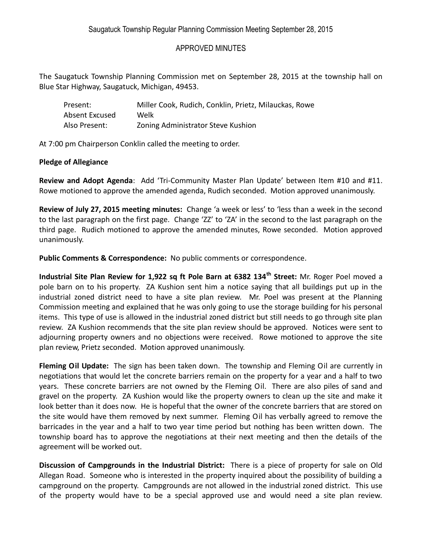## APPROVED MINUTES

The Saugatuck Township Planning Commission met on September 28, 2015 at the township hall on Blue Star Highway, Saugatuck, Michigan, 49453.

| Present:       | Miller Cook, Rudich, Conklin, Prietz, Milauckas, Rowe |
|----------------|-------------------------------------------------------|
| Absent Excused | Welk                                                  |
| Also Present:  | Zoning Administrator Steve Kushion                    |

At 7:00 pm Chairperson Conklin called the meeting to order.

## **Pledge of Allegiance**

**Review and Adopt Agenda**: Add 'Tri-Community Master Plan Update' between Item #10 and #11. Rowe motioned to approve the amended agenda, Rudich seconded. Motion approved unanimously.

**Review of July 27, 2015 meeting minutes:** Change 'a week or less' to 'less than a week in the second to the last paragraph on the first page. Change 'ZZ' to 'ZA' in the second to the last paragraph on the third page. Rudich motioned to approve the amended minutes, Rowe seconded. Motion approved unanimously.

**Public Comments & Correspondence:** No public comments or correspondence.

**Industrial Site Plan Review for 1,922 sq ft Pole Barn at 6382 134th Street:** Mr. Roger Poel moved a pole barn on to his property. ZA Kushion sent him a notice saying that all buildings put up in the industrial zoned district need to have a site plan review. Mr. Poel was present at the Planning Commission meeting and explained that he was only going to use the storage building for his personal items. This type of use is allowed in the industrial zoned district but still needs to go through site plan review. ZA Kushion recommends that the site plan review should be approved. Notices were sent to adjourning property owners and no objections were received. Rowe motioned to approve the site plan review, Prietz seconded. Motion approved unanimously.

**Fleming Oil Update:** The sign has been taken down. The township and Fleming Oil are currently in negotiations that would let the concrete barriers remain on the property for a year and a half to two years. These concrete barriers are not owned by the Fleming Oil. There are also piles of sand and gravel on the property. ZA Kushion would like the property owners to clean up the site and make it look better than it does now. He is hopeful that the owner of the concrete barriers that are stored on the site would have them removed by next summer. Fleming Oil has verbally agreed to remove the barricades in the year and a half to two year time period but nothing has been written down. The township board has to approve the negotiations at their next meeting and then the details of the agreement will be worked out.

**Discussion of Campgrounds in the Industrial District:** There is a piece of property for sale on Old Allegan Road. Someone who is interested in the property inquired about the possibility of building a campground on the property. Campgrounds are not allowed in the industrial zoned district. This use of the property would have to be a special approved use and would need a site plan review.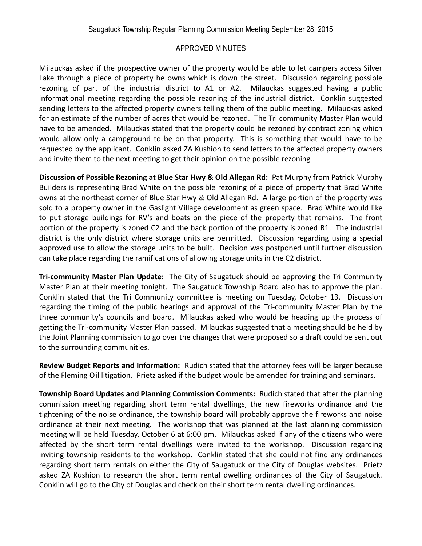## APPROVED MINUTES

Milauckas asked if the prospective owner of the property would be able to let campers access Silver Lake through a piece of property he owns which is down the street. Discussion regarding possible rezoning of part of the industrial district to A1 or A2. Milauckas suggested having a public informational meeting regarding the possible rezoning of the industrial district. Conklin suggested sending letters to the affected property owners telling them of the public meeting. Milauckas asked for an estimate of the number of acres that would be rezoned. The Tri community Master Plan would have to be amended. Milauckas stated that the property could be rezoned by contract zoning which would allow only a campground to be on that property. This is something that would have to be requested by the applicant. Conklin asked ZA Kushion to send letters to the affected property owners and invite them to the next meeting to get their opinion on the possible rezoning

**Discussion of Possible Rezoning at Blue Star Hwy & Old Allegan Rd:** Pat Murphy from Patrick Murphy Builders is representing Brad White on the possible rezoning of a piece of property that Brad White owns at the northeast corner of Blue Star Hwy & Old Allegan Rd. A large portion of the property was sold to a property owner in the Gaslight Village development as green space. Brad White would like to put storage buildings for RV's and boats on the piece of the property that remains. The front portion of the property is zoned C2 and the back portion of the property is zoned R1. The industrial district is the only district where storage units are permitted. Discussion regarding using a special approved use to allow the storage units to be built. Decision was postponed until further discussion can take place regarding the ramifications of allowing storage units in the C2 district.

**Tri-community Master Plan Update:** The City of Saugatuck should be approving the Tri Community Master Plan at their meeting tonight. The Saugatuck Township Board also has to approve the plan. Conklin stated that the Tri Community committee is meeting on Tuesday, October 13. Discussion regarding the timing of the public hearings and approval of the Tri-community Master Plan by the three community's councils and board. Milauckas asked who would be heading up the process of getting the Tri-community Master Plan passed. Milauckas suggested that a meeting should be held by the Joint Planning commission to go over the changes that were proposed so a draft could be sent out to the surrounding communities.

**Review Budget Reports and Information:** Rudich stated that the attorney fees will be larger because of the Fleming Oil litigation. Prietz asked if the budget would be amended for training and seminars.

**Township Board Updates and Planning Commission Comments:** Rudich stated that after the planning commission meeting regarding short term rental dwellings, the new fireworks ordinance and the tightening of the noise ordinance, the township board will probably approve the fireworks and noise ordinance at their next meeting. The workshop that was planned at the last planning commission meeting will be held Tuesday, October 6 at 6:00 pm. Milauckas asked if any of the citizens who were affected by the short term rental dwellings were invited to the workshop. Discussion regarding inviting township residents to the workshop. Conklin stated that she could not find any ordinances regarding short term rentals on either the City of Saugatuck or the City of Douglas websites. Prietz asked ZA Kushion to research the short term rental dwelling ordinances of the City of Saugatuck. Conklin will go to the City of Douglas and check on their short term rental dwelling ordinances.